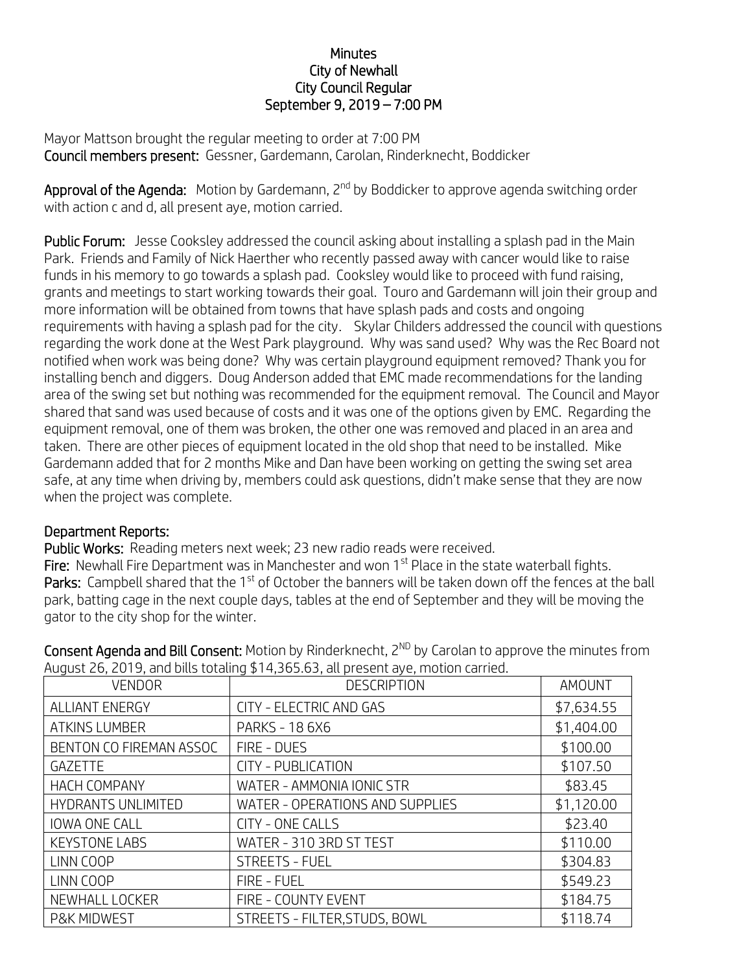## **Minutes** City of Newhall City Council Regular September 9, 2019 – 7:00 PM

Mayor Mattson brought the regular meeting to order at 7:00 PM Council members present: Gessner, Gardemann, Carolan, Rinderknecht, Boddicker

Approval of the Agenda: Motion by Gardemann, 2<sup>nd</sup> by Boddicker to approve agenda switching order with action c and d, all present aye, motion carried.

Public Forum: Jesse Cooksley addressed the council asking about installing a splash pad in the Main Park. Friends and Family of Nick Haerther who recently passed away with cancer would like to raise funds in his memory to go towards a splash pad. Cooksley would like to proceed with fund raising, grants and meetings to start working towards their goal. Touro and Gardemann will join their group and more information will be obtained from towns that have splash pads and costs and ongoing requirements with having a splash pad for the city. Skylar Childers addressed the council with questions regarding the work done at the West Park playground. Why was sand used? Why was the Rec Board not notified when work was being done? Why was certain playground equipment removed? Thank you for installing bench and diggers. Doug Anderson added that EMC made recommendations for the landing area of the swing set but nothing was recommended for the equipment removal. The Council and Mayor shared that sand was used because of costs and it was one of the options given by EMC. Regarding the equipment removal, one of them was broken, the other one was removed and placed in an area and taken. There are other pieces of equipment located in the old shop that need to be installed. Mike Gardemann added that for 2 months Mike and Dan have been working on getting the swing set area safe, at any time when driving by, members could ask questions, didn't make sense that they are now when the project was complete.

## Department Reports:

Public Works: Reading meters next week; 23 new radio reads were received.

Fire: Newhall Fire Department was in Manchester and won 1<sup>st</sup> Place in the state waterball fights. Parks: Campbell shared that the 1<sup>st</sup> of October the banners will be taken down off the fences at the ball park, batting cage in the next couple days, tables at the end of September and they will be moving the gator to the city shop for the winter.

VENDOR **DESCRIPTION** DESCRIPTION **AMOUNT** ALLIANT ENERGY | CITY - ELECTRIC AND GAS | \$7,634.55 ATKINS LUMBER PARKS - 18 6X6 \$1,404.00 BENTON CO FIREMAN ASSOC FIRE - DUES \$100.00 GAZETTE CITY - PUBLICATION GAZETTE \$107.50 HACH COMPANY WATER - AMMONIA IONIC STR 1983.45 HYDRANTS UNLIMITED WATER - OPERATIONS AND SUPPLIES \$1,120.00 IOWA ONE CALL  $\vert$  CITY - ONE CALLS  $\vert$  \$23.40 KEYSTONE LABS WATER - 310 3RD ST TEST \$110.00 LINN COOP STREETS - FUEL STREETS - FUEL S304.83 LINN COOP FIRE - FUEL \$549.23 NEWHALL LOCKER FIRE - COUNTY EVENT FIRE HALL \$184.75 P&K MIDWEST STREETS - FILTER, STUDS, BOWL STATES 118.74

Consent Agenda and Bill Consent: Motion by Rinderknecht, 2<sup>ND</sup> by Carolan to approve the minutes from August 26, 2019, and bills totaling \$14,365.63, all present aye, motion carried.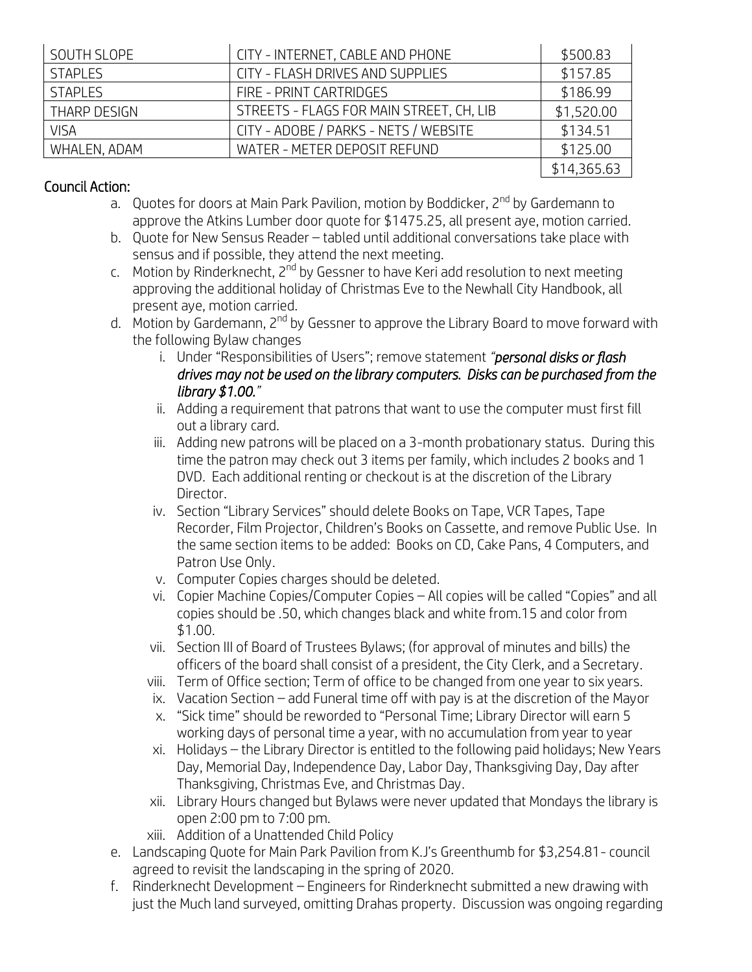| SOUTH SLOPE    | CITY - INTERNET, CABLE AND PHONE         | \$500.83    |
|----------------|------------------------------------------|-------------|
| <b>STAPLES</b> | CITY - FLASH DRIVES AND SUPPLIES         | \$157.85    |
| <b>STAPLES</b> | FIRE - PRINT CARTRIDGES                  | \$186.99    |
| THARP DESIGN   | STREETS - FLAGS FOR MAIN STREET, CH, LIB | \$1,520.00  |
| VISA           | CITY - ADOBE / PARKS - NETS / WEBSITE    | \$134.51    |
| WHALEN, ADAM   | WATER - METER DEPOSIT REFUND             | \$125.00    |
|                |                                          | \$14,365.63 |

## Council Action:

- a. Quotes for doors at Main Park Pavilion, motion by Boddicker, 2<sup>nd</sup> by Gardemann to approve the Atkins Lumber door quote for \$1475.25, all present aye, motion carried.
- b. Quote for New Sensus Reader tabled until additional conversations take place with sensus and if possible, they attend the next meeting.
- c. Motion by Rinderknecht, 2<sup>nd</sup> by Gessner to have Keri add resolution to next meeting approving the additional holiday of Christmas Eve to the Newhall City Handbook, all present aye, motion carried.
- d. Motion by Gardemann, 2<sup>nd</sup> by Gessner to approve the Library Board to move forward with the following Bylaw changes
	- i. Under "Responsibilities of Users"; remove statement *"personal disks or flash drives may not be used on the library computers. Disks can be purchased from the library \$1.00."*
	- ii. Adding a requirement that patrons that want to use the computer must first fill out a library card.
	- iii. Adding new patrons will be placed on a 3-month probationary status. During this time the patron may check out 3 items per family, which includes 2 books and 1 DVD. Each additional renting or checkout is at the discretion of the Library Director.
	- iv. Section "Library Services" should delete Books on Tape, VCR Tapes, Tape Recorder, Film Projector, Children's Books on Cassette, and remove Public Use. In the same section items to be added: Books on CD, Cake Pans, 4 Computers, and Patron Use Only.
	- v. Computer Copies charges should be deleted.
	- vi. Copier Machine Copies/Computer Copies All copies will be called "Copies" and all copies should be .50, which changes black and white from.15 and color from \$1.00.
	- vii. Section III of Board of Trustees Bylaws; (for approval of minutes and bills) the officers of the board shall consist of a president, the City Clerk, and a Secretary.
	- viii. Term of Office section; Term of office to be changed from one year to six years.
	- ix. Vacation Section add Funeral time off with pay is at the discretion of the Mayor
	- x. "Sick time" should be reworded to "Personal Time; Library Director will earn 5 working days of personal time a year, with no accumulation from year to year
	- xi. Holidays the Library Director is entitled to the following paid holidays; New Years Day, Memorial Day, Independence Day, Labor Day, Thanksgiving Day, Day after Thanksgiving, Christmas Eve, and Christmas Day.
	- xii. Library Hours changed but Bylaws were never updated that Mondays the library is open 2:00 pm to 7:00 pm.
	- xiii. Addition of a Unattended Child Policy
- e. Landscaping Quote for Main Park Pavilion from K.J's Greenthumb for \$3,254.81- council agreed to revisit the landscaping in the spring of 2020.
- f. Rinderknecht Development Engineers for Rinderknecht submitted a new drawing with just the Much land surveyed, omitting Drahas property. Discussion was ongoing regarding